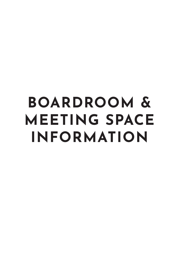# **BOARDROOM & MEETING SPACE INFORMATION**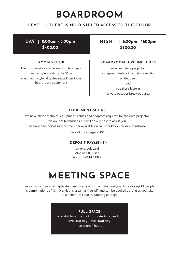### **BOARDROOM**

#### **LEVEL 1 - THERE IS NO DISABLED ACCESS TO THIS FLOOR**

**DAY | 8:00am - 5:00pm \$400.00**

#### **· ROOM SET UP ·**

board room style - table seats up to 20 pax theatre style - seats up to 50 pax class room style - 4 tables seats 8 per table boardroom equipment

### **NIGHT | 6:00pm - 11:00pm \$300.00**

#### **· BOARDROOM HIRE INCLUDES ·**

overhead data projector fast speed wireless internet connection whiteboard dvd speaker's lectern private outdoor break out area

#### **· EQUIPMENT SET UP ·**

we have all the technical equipment, cables and adaptors required for the data projector we are not technicians but will do our best to assist you we have a technical support member available on call should you require assistance

the call out charge is \$50

#### **· DEPOSIT PAYMENT ·**

eft or credit card ANZ BSB 012 345 Account 4614 71382

### **MEETING SPACE**

we can also offer a semi-private meeting space off the main lounge which seats up 18 people in combinations of 18, 10 or 6. this area has free wifi and can be booked as long as you take up a minimum \$200.00 catering package.

> **FULL SPACE** is available with a minimum catering spend of **\$200 full day | \$100 half day** maximum 4 hours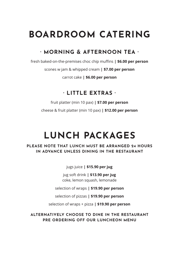### **BOARDROOM CATERING**

### **· MORNING & AFTERNOON TEA ·**

fresh baked-on-the-premises choc chip muffins **| \$6.00 per person**

scones w jam & whipped cream **| \$7.00 per person**

carrot cake **| \$6.00 per person**

### **· LITTLE EXTRAS ·**

fruit platter (min 10 pax) **| \$7.00 per person** cheese & fruit platter (min 10 pax) **| \$12.00 per person**

# **LUNCH PACKAGES**

### **PLEASE NOTE THAT LUNCH MUST BE ARRANGED 24 HOURS IN ADVANCE UNLESS DINING IN THE RESTAURANT**

jugs juice **| \$15.90 per jug**

jug soft drink **| \$13.90 per jug** coke, lemon squash, lemonade

selection of wraps **| \$19.90 per person**

selection of pizzas **| \$19.90 per person**

selection of wraps + pizza **| \$19.90 per person**

**ALTERNATIVELY CHOOSE TO DINE IN THE RESTAURANT PRE ORDERING OFF OUR LUNCHEON MENU**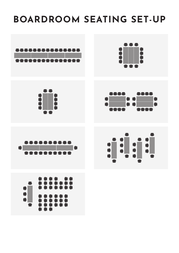**BOARDROOM SEATING SET-UP**